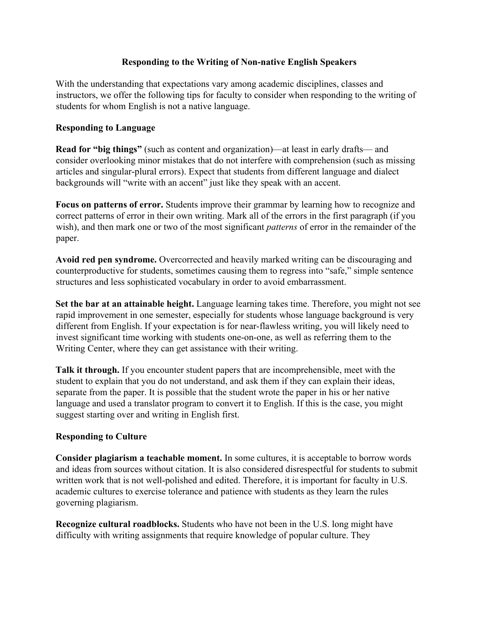## **Responding to the Writing of Non-native English Speakers**

With the understanding that expectations vary among academic disciplines, classes and instructors, we offer the following tips for faculty to consider when responding to the writing of students for whom English is not a native language.

## **Responding to Language**

**Read for "big things"** (such as content and organization)—at least in early drafts— and consider overlooking minor mistakes that do not interfere with comprehension (such as missing articles and singular-plural errors). Expect that students from different language and dialect backgrounds will "write with an accent" just like they speak with an accent.

**Focus on patterns of error.** Students improve their grammar by learning how to recognize and correct patterns of error in their own writing. Mark all of the errors in the first paragraph (if you wish), and then mark one or two of the most significant *patterns* of error in the remainder of the paper.

**Avoid red pen syndrome.** Overcorrected and heavily marked writing can be discouraging and counterproductive for students, sometimes causing them to regress into "safe," simple sentence structures and less sophisticated vocabulary in order to avoid embarrassment.

**Set the bar at an attainable height.** Language learning takes time. Therefore, you might not see rapid improvement in one semester, especially for students whose language background is very different from English. If your expectation is for near-flawless writing, you will likely need to invest significant time working with students one-on-one, as well as referring them to the Writing Center, where they can get assistance with their writing.

**Talk it through.** If you encounter student papers that are incomprehensible, meet with the student to explain that you do not understand, and ask them if they can explain their ideas, separate from the paper. It is possible that the student wrote the paper in his or her native language and used a translator program to convert it to English. If this is the case, you might suggest starting over and writing in English first.

## **Responding to Culture**

**Consider plagiarism a teachable moment.** In some cultures, it is acceptable to borrow words and ideas from sources without citation. It is also considered disrespectful for students to submit written work that is not well-polished and edited. Therefore, it is important for faculty in U.S. academic cultures to exercise tolerance and patience with students as they learn the rules governing plagiarism.

**Recognize cultural roadblocks.** Students who have not been in the U.S. long might have difficulty with writing assignments that require knowledge of popular culture. They